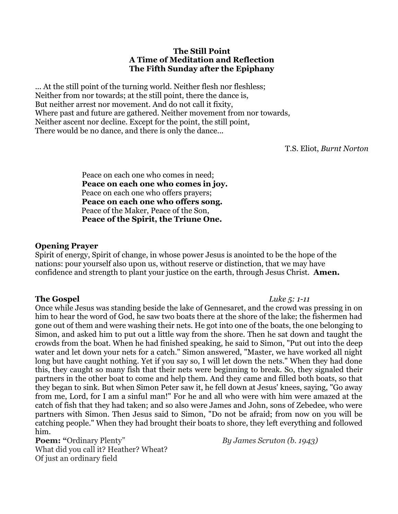## **The Still Point A Time of Meditation and Reflection The Fifth Sunday after the Epiphany**

... At the still point of the turning world. Neither flesh nor fleshless; Neither from nor towards; at the still point, there the dance is, But neither arrest nor movement. And do not call it fixity, Where past and future are gathered. Neither movement from nor towards, Neither ascent nor decline. Except for the point, the still point, There would be no dance, and there is only the dance...

T.S. Eliot, *Burnt Norton*

Peace on each one who comes in need; **Peace on each one who comes in joy.**  Peace on each one who offers prayers; **Peace on each one who offers song.** Peace of the Maker, Peace of the Son, **Peace of the Spirit, the Triune One.** 

## **Opening Prayer**

Spirit of energy, Spirit of change, in whose power Jesus is anointed to be the hope of the nations: pour yourself also upon us, without reserve or distinction, that we may have confidence and strength to plant your justice on the earth, through Jesus Christ. **Amen.**

**The Gospel** *Luke 5: 1-11* Once while Jesus was standing beside the lake of Gennesaret, and the crowd was pressing in on him to hear the word of God, he saw two boats there at the shore of the lake; the fishermen had gone out of them and were washing their nets. He got into one of the boats, the one belonging to Simon, and asked him to put out a little way from the shore. Then he sat down and taught the crowds from the boat. When he had finished speaking, he said to Simon, "Put out into the deep water and let down your nets for a catch." Simon answered, "Master, we have worked all night long but have caught nothing. Yet if you say so, I will let down the nets." When they had done this, they caught so many fish that their nets were beginning to break. So, they signaled their partners in the other boat to come and help them. And they came and filled both boats, so that they began to sink. But when Simon Peter saw it, he fell down at Jesus' knees, saying, "Go away from me, Lord, for I am a sinful man!" For he and all who were with him were amazed at the catch of fish that they had taken; and so also were James and John, sons of Zebedee, who were partners with Simon. Then Jesus said to Simon, "Do not be afraid; from now on you will be catching people." When they had brought their boats to shore, they left everything and followed him.

**Poem: "**Ordinary Plenty" *By James Scruton (b. 1943)* What did you call it? Heather? Wheat? Of just an ordinary field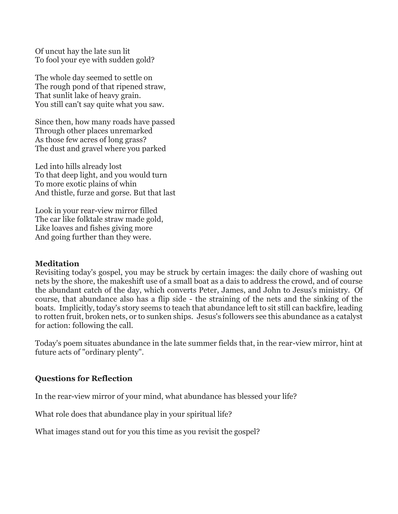Of uncut hay the late sun lit To fool your eye with sudden gold?

The whole day seemed to settle on The rough pond of that ripened straw, That sunlit lake of heavy grain. You still can't say quite what you saw.

Since then, how many roads have passed Through other places unremarked As those few acres of long grass? The dust and gravel where you parked

Led into hills already lost To that deep light, and you would turn To more exotic plains of whin And thistle, furze and gorse. But that last

Look in your rear-view mirror filled The car like folktale straw made gold, Like loaves and fishes giving more And going further than they were.

### **Meditation**

Revisiting today's gospel, you may be struck by certain images: the daily chore of washing out nets by the shore, the makeshift use of a small boat as a dais to address the crowd, and of course the abundant catch of the day, which converts Peter, James, and John to Jesus's ministry. Of course, that abundance also has a flip side - the straining of the nets and the sinking of the boats. Implicitly, today's story seems to teach that abundance left to sit still can backfire, leading to rotten fruit, broken nets, or to sunken ships. Jesus's followers see this abundance as a catalyst for action: following the call.

Today's poem situates abundance in the late summer fields that, in the rear-view mirror, hint at future acts of "ordinary plenty".

# **Questions for Reflection**

In the rear-view mirror of your mind, what abundance has blessed your life?

What role does that abundance play in your spiritual life?

What images stand out for you this time as you revisit the gospel?